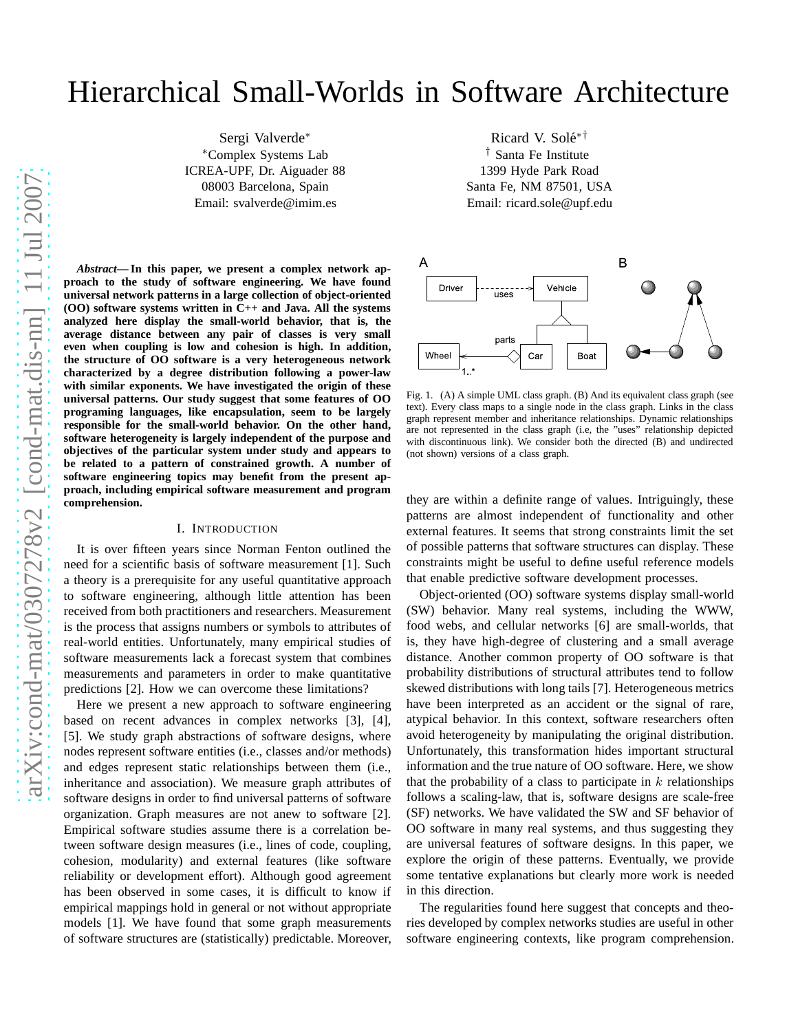# Hierarchical Small-Worlds in Software Architecture

Sergi Valverde<sup>∗</sup> <sup>∗</sup>Complex Systems Lab ICREA-UPF, Dr. Aiguader 88 08003 Barcelona, Spain Email: svalverde@imim.es

*Abstract***— In this paper, we present a complex network approach to the study of software engineering. We have found universal network patterns in a large collection of object-oriented (OO) software systems written in C++ and Java. All the systems analyzed here display the small-world behavior, that is, the average distance between any pair of classes is very small even when coupling is low and cohesion is high. In addition, the structure of OO software is a very heterogeneous network characterized by a degree distribution following a power-law with similar exponents. We have investigated the origin of these universal patterns. Our study suggest that some features of OO programing languages, like encapsulation, seem to be largely responsible for the small-world behavior. On the other hand, software heterogeneity is largely independent of the purpose and objectives of the particular system under study and appears to be related to a pattern of constrained growth. A number of software engineering topics may benefit from the present approach, including empirical software measurement and program comprehension.**

#### I. INTRODUCTION

It is over fifteen years since Norman Fenton outlined the need for a scientific basis of software measurement [1]. Such a theory is a prerequisite for any useful quantitative approach to software engineering, although little attention has been received from both practitioners and researchers. Measurement is the process that assigns numbers or symbols to attributes of real-world entities. Unfortunately, many empirical studies of software measurements lack a forecast system that combines measurements and parameters in order to make quantitative predictions [2]. How we can overcome these limitations?

Here we present a new approach to software engineering based on recent advances in complex networks [3], [4], [5]. We study graph abstractions of software designs, where nodes represent software entities (i.e., classes and/or methods) and edges represent static relationships between them (i.e., inheritance and association). We measure graph attributes of software designs in order to find universal patterns of software organization. Graph measures are not anew to software [2]. Empirical software studies assume there is a correlation between software design measures (i.e., lines of code, coupling, cohesion, modularity) and external features (like software reliability or development effort). Although good agreement has been observed in some cases, it is difficult to know if empirical mappings hold in general or not without appropriate models [1]. We have found that some graph measurements of software structures are (statistically) predictable. Moreover,

Ricard V. Solé<sup>∗†</sup> † Santa Fe Institute 1399 Hyde Park Road Santa Fe, NM 87501, USA Email: ricard.sole@upf.edu



<span id="page-0-0"></span>Fig. 1. (A) A simple UML class graph. (B) And its equivalent class graph (see text). Every class maps to a single node in the class graph. Links in the class graph represent member and inheritance relationships. Dynamic relationships are not represented in the class graph (i.e, the "uses" relationship depicted with discontinuous link). We consider both the directed (B) and undirected (not shown) versions of a class graph.

they are within a definite range of values. Intriguingly, these patterns are almost independent of functionality and other external features. It seems that strong constraints limit the set of possible patterns that software structures can display. These constraints might be useful to define useful reference models that enable predictive software development processes.

Object-oriented (OO) software systems display small-world (SW) behavior. Many real systems, including the WWW, food webs, and cellular networks [6] are small-worlds, that is, they have high-degree of clustering and a small average distance. Another common property of OO software is that probability distributions of structural attributes tend to follow skewed distributions with long tails [7]. Heterogeneous metrics have been interpreted as an accident or the signal of rare, atypical behavior. In this context, software researchers often avoid heterogeneity by manipulating the original distribution. Unfortunately, this transformation hides important structural information and the true nature of OO software. Here, we show that the probability of a class to participate in  $k$  relationships follows a scaling-law, that is, software designs are scale-free (SF) networks. We have validated the SW and SF behavior of OO software in many real systems, and thus suggesting they are universal features of software designs. In this paper, we explore the origin of these patterns. Eventually, we provide some tentative explanations but clearly more work is needed in this direction.

The regularities found here suggest that concepts and theories developed by complex networks studies are useful in other software engineering contexts, like program comprehension.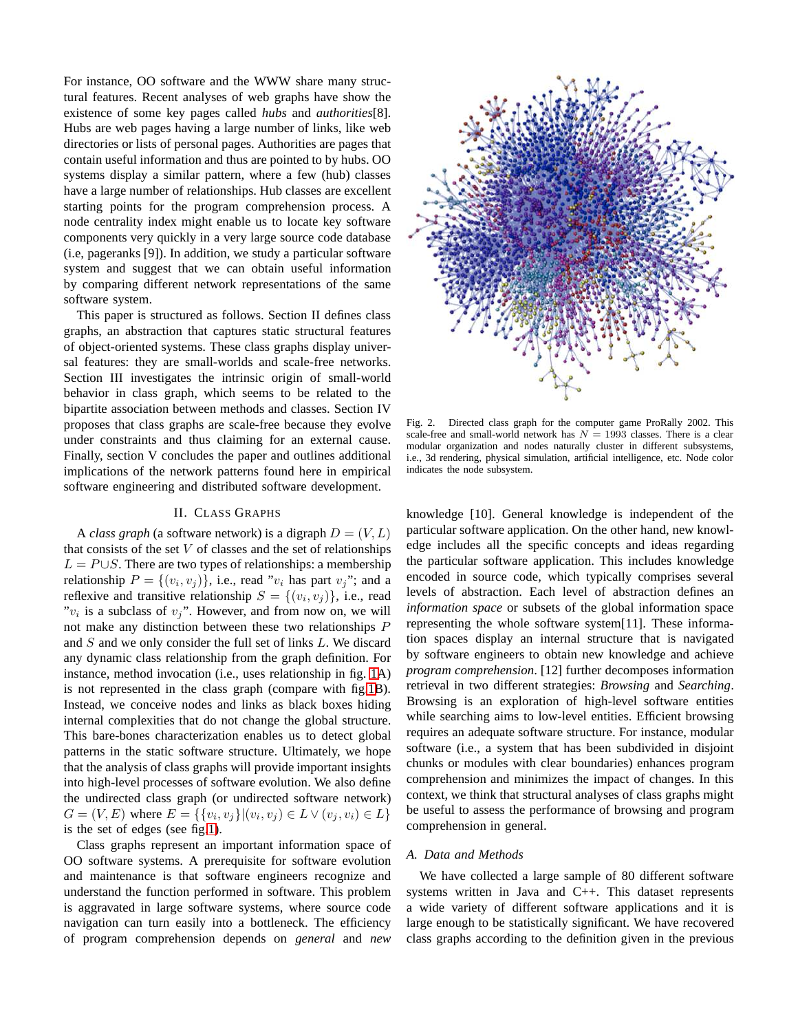For instance, OO software and the WWW share many structural features. Recent analyses of web graphs have show the existence of some key pages called *hubs* and *authorities*[8]. Hubs are web pages having a large number of links, like web directories or lists of personal pages. Authorities are pages that contain useful information and thus are pointed to by hubs. OO systems display a similar pattern, where a few (hub) classes have a large number of relationships. Hub classes are excellent starting points for the program comprehension process. A node centrality index might enable us to locate key software components very quickly in a very large source code database (i.e, pageranks [9]). In addition, we study a particular software system and suggest that we can obtain useful information by comparing different network representations of the same software system.

This paper is structured as follows. Section II defines class graphs, an abstraction that captures static structural features of object-oriented systems. These class graphs display universal features: they are small-worlds and scale-free networks. Section III investigates the intrinsic origin of small-world behavior in class graph, which seems to be related to the bipartite association between methods and classes. Section IV proposes that class graphs are scale-free because they evolve under constraints and thus claiming for an external cause. Finally, section V concludes the paper and outlines additional implications of the network patterns found here in empirical software engineering and distributed software development.

## II. CLASS GRAPHS

A *class graph* (a software network) is a digraph  $D = (V, L)$ that consists of the set  $V$  of classes and the set of relationships  $L = P \cup S$ . There are two types of relationships: a membership relationship  $P = \{(v_i, v_j)\}\$ , i.e., read " $v_i$  has part  $v_j$ "; and a reflexive and transitive relationship  $S = \{(v_i, v_j)\}\$ , i.e., read " $v_i$  is a subclass of  $v_j$ ". However, and from now on, we will not make any distinction between these two relationships P and S and we only consider the full set of links L. We discard any dynamic class relationship from the graph definition. For instance, method invocation (i.e., uses relationship in fig. [1A](#page-0-0)) is not represented in the class graph (compare with fig[.1B](#page-0-0)). Instead, we conceive nodes and links as black boxes hiding internal complexities that do not change the global structure. This bare-bones characterization enables us to detect global patterns in the static software structure. Ultimately, we hope that the analysis of class graphs will provide important insights into high-level processes of software evolution. We also define the undirected class graph (or undirected software network)  $G = (V, E)$  where  $E = \{ \{v_i, v_j\} | (v_i, v_j) \in L \vee (v_j, v_i) \in L \}$ is the set of edges (see fig[.1\)](#page-0-0).

Class graphs represent an important information space of OO software systems. A prerequisite for software evolution and maintenance is that software engineers recognize and understand the function performed in software. This problem is aggravated in large software systems, where source code navigation can turn easily into a bottleneck. The efficiency of program comprehension depends on *general* and *new*



<span id="page-1-0"></span>Fig. 2. Directed class graph for the computer game ProRally 2002. This scale-free and small-world network has  $N = 1993$  classes. There is a clear modular organization and nodes naturally cluster in different subsystems, i.e., 3d rendering, physical simulation, artificial intelligence, etc. Node color indicates the node subsystem.

knowledge [10]. General knowledge is independent of the particular software application. On the other hand, new knowledge includes all the specific concepts and ideas regarding the particular software application. This includes knowledge encoded in source code, which typically comprises several levels of abstraction. Each level of abstraction defines an *information space* or subsets of the global information space representing the whole software system[11]. These information spaces display an internal structure that is navigated by software engineers to obtain new knowledge and achieve *program comprehension*. [12] further decomposes information retrieval in two different strategies: *Browsing* and *Searching*. Browsing is an exploration of high-level software entities while searching aims to low-level entities. Efficient browsing requires an adequate software structure. For instance, modular software (i.e., a system that has been subdivided in disjoint chunks or modules with clear boundaries) enhances program comprehension and minimizes the impact of changes. In this context, we think that structural analyses of class graphs might be useful to assess the performance of browsing and program comprehension in general.

# *A. Data and Methods*

We have collected a large sample of 80 different software systems written in Java and C++. This dataset represents a wide variety of different software applications and it is large enough to be statistically significant. We have recovered class graphs according to the definition given in the previous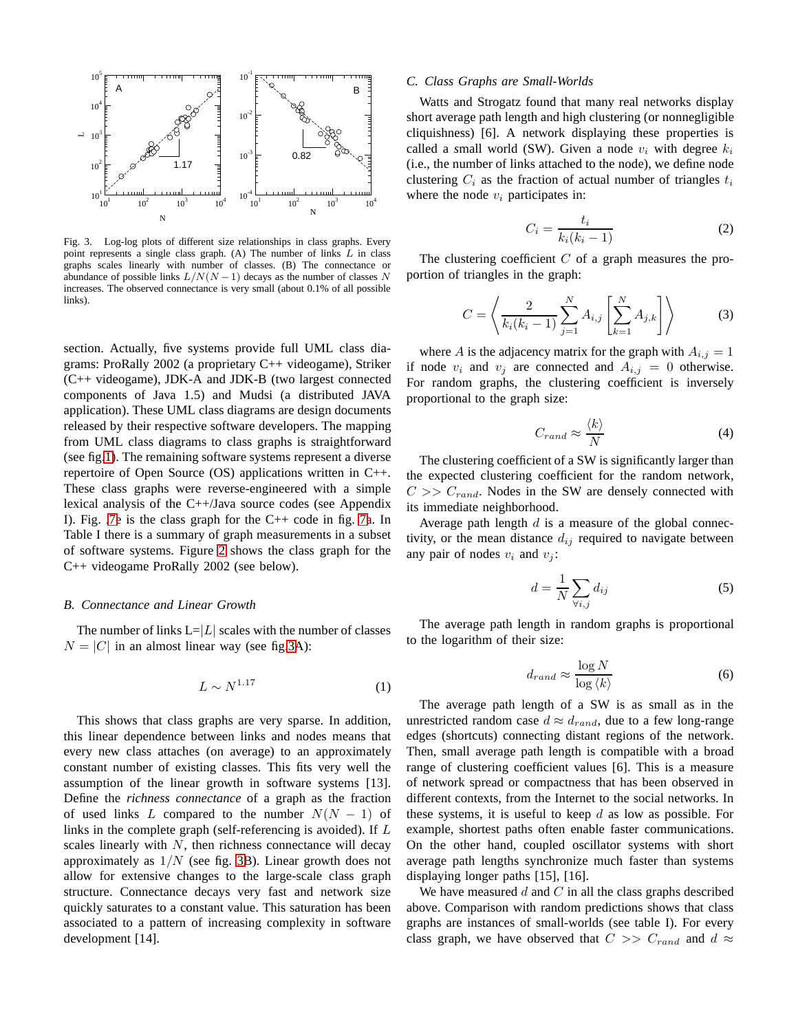

<span id="page-2-0"></span>Fig. 3. Log-log plots of different size relationships in class graphs. Every point represents a single class graph. (A) The number of links  $L$  in class graphs scales linearly with number of classes. (B) The connectance or abundance of possible links  $L/N(N-1)$  decays as the number of classes N increases. The observed connectance is very small (about 0.1% of all possible links).

section. Actually, five systems provide full UML class diagrams: ProRally 2002 (a proprietary C++ videogame), Striker (C++ videogame), JDK-A and JDK-B (two largest connected components of Java 1.5) and Mudsi (a distributed JAVA application). These UML class diagrams are design documents released by their respective software developers. The mapping from UML class diagrams to class graphs is straightforward (see fig[.1\)](#page-0-0). The remaining software systems represent a diverse repertoire of Open Source (OS) applications written in C++. These class graphs were reverse-engineered with a simple lexical analysis of the C++/Java source codes (see Appendix I). Fig. [.7e](#page-5-0) is the class graph for the C++ code in fig. [7a](#page-5-0). In Table I there is a summary of graph measurements in a subset of software systems. Figure [2](#page-1-0) shows the class graph for the C++ videogame ProRally 2002 (see below).

# *B. Connectance and Linear Growth*

The number of links  $L=|L|$  scales with the number of classes  $N = |C|$  in an almost linear way (see fig[.3A](#page-2-0)):

$$
L \sim N^{1.17} \tag{1}
$$

This shows that class graphs are very sparse. In addition, this linear dependence between links and nodes means that every new class attaches (on average) to an approximately constant number of existing classes. This fits very well the assumption of the linear growth in software systems [13]. Define the *richness connectance* of a graph as the fraction of used links L compared to the number  $N(N - 1)$  of links in the complete graph (self-referencing is avoided). If L scales linearly with  $N$ , then richness connectance will decay approximately as  $1/N$  (see fig. [3B](#page-2-0)). Linear growth does not allow for extensive changes to the large-scale class graph structure. Connectance decays very fast and network size quickly saturates to a constant value. This saturation has been associated to a pattern of increasing complexity in software development [14].

## *C. Class Graphs are Small-Worlds*

Watts and Strogatz found that many real networks display short average path length and high clustering (or nonnegligible cliquishness) [6]. A network displaying these properties is called a small world (SW). Given a node  $v_i$  with degree  $k_i$ (i.e., the number of links attached to the node), we define node clustering  $C_i$  as the fraction of actual number of triangles  $t_i$ where the node  $v_i$  participates in:

<span id="page-2-2"></span>
$$
C_i = \frac{t_i}{k_i(k_i - 1)}\tag{2}
$$

The clustering coefficient  $C$  of a graph measures the proportion of triangles in the graph:

$$
C = \left\langle \frac{2}{k_i(k_i - 1)} \sum_{j=1}^{N} A_{i,j} \left[ \sum_{k=1}^{N} A_{j,k} \right] \right\rangle
$$
 (3)

where A is the adjacency matrix for the graph with  $A_{i,j} = 1$ if node  $v_i$  and  $v_j$  are connected and  $A_{i,j} = 0$  otherwise. For random graphs, the clustering coefficient is inversely proportional to the graph size:

$$
C_{rand} \approx \frac{\langle k \rangle}{N} \tag{4}
$$

The clustering coefficient of a SW is significantly larger than the expected clustering coefficient for the random network,  $C >> C_{rand}$ . Nodes in the SW are densely connected with its immediate neighborhood.

Average path length  $d$  is a measure of the global connectivity, or the mean distance  $d_{ij}$  required to navigate between any pair of nodes  $v_i$  and  $v_j$ :

<span id="page-2-1"></span>
$$
d = \frac{1}{N} \sum_{\forall i,j} d_{ij} \tag{5}
$$

The average path length in random graphs is proportional to the logarithm of their size:

$$
d_{rand} \approx \frac{\log N}{\log \langle k \rangle} \tag{6}
$$

The average path length of a SW is as small as in the unrestricted random case  $d \approx d_{rand}$ , due to a few long-range edges (shortcuts) connecting distant regions of the network. Then, small average path length is compatible with a broad range of clustering coefficient values [6]. This is a measure of network spread or compactness that has been observed in different contexts, from the Internet to the social networks. In these systems, it is useful to keep  $d$  as low as possible. For example, shortest paths often enable faster communications. On the other hand, coupled oscillator systems with short average path lengths synchronize much faster than systems displaying longer paths [15], [16].

We have measured  $d$  and  $C$  in all the class graphs described above. Comparison with random predictions shows that class graphs are instances of small-worlds (see table I). For every class graph, we have observed that  $C \gg C_{rand}$  and  $d \approx$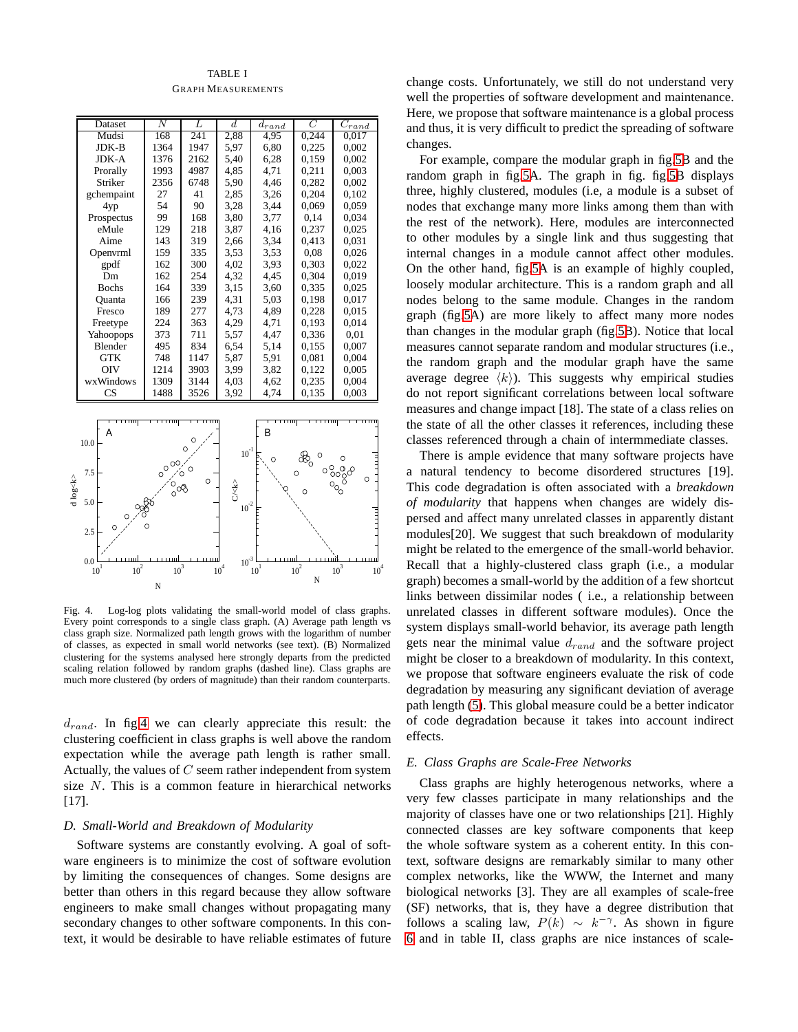# TABLE I

GRAPH MEASUREMENTS

|          | Dataset                                                   | $\overline{N}$                            | L                | $^{d}$                                                                                                                           | $\overline{d}_{rand}$        | $\overline{C}$        | $\overline{C_{rand}}$       |
|----------|-----------------------------------------------------------|-------------------------------------------|------------------|----------------------------------------------------------------------------------------------------------------------------------|------------------------------|-----------------------|-----------------------------|
|          | Mudsi                                                     | 168                                       | 241              | 2,88                                                                                                                             | 4,95                         | 0,244                 | 0,017                       |
|          | JDK-B                                                     | 1364                                      | 1947             | 5,97                                                                                                                             | 6,80                         | 0,225                 | 0,002                       |
|          | JDK-A                                                     | 1376                                      | 2162             | 5,40                                                                                                                             | 6,28                         | 0,159                 | 0,002                       |
|          | Prorally                                                  | 1993                                      | 4987             | 4,85                                                                                                                             | 4,71                         | 0,211                 | 0,003                       |
|          | Striker                                                   | 2356                                      | 6748             | 5,90                                                                                                                             | 4,46                         | 0.282                 | 0.002                       |
|          | gchempaint                                                | 27                                        | 41               | 2,85                                                                                                                             | 3,26                         | 0.204                 | 0.102                       |
|          | 4yp                                                       | 54                                        | 90               | 3,28                                                                                                                             | 3,44                         | 0,069                 | 0,059                       |
|          | Prospectus                                                | 99                                        | 168              | 3,80                                                                                                                             | 3,77                         | 0,14                  | 0,034                       |
|          | eMule                                                     | 129                                       | 218              | 3,87                                                                                                                             | 4,16                         | 0.237                 | 0,025                       |
|          | Aime                                                      | 143                                       | 319              | 2,66                                                                                                                             | 3,34                         | 0.413                 | 0,031                       |
|          | Openvrml                                                  | 159                                       | 335              | 3.53                                                                                                                             | 3,53                         | 0,08                  | 0,026                       |
|          | gpdf                                                      | 162                                       | 300              | 4,02                                                                                                                             | 3,93                         | 0.303                 | 0,022                       |
|          | Dm                                                        | 162                                       | 254              | 4,32                                                                                                                             | 4,45                         | 0.304                 | 0.019                       |
|          | <b>Bochs</b>                                              | 164                                       | 339              | 3,15                                                                                                                             | 3,60                         | 0,335                 | 0,025                       |
|          | Quanta                                                    | 166                                       | 239              | 4,31                                                                                                                             | 5,03                         | 0.198                 | 0,017                       |
|          | Fresco                                                    | 189                                       | 277              | 4,73                                                                                                                             | 4,89                         | 0,228                 | 0.015                       |
|          | Freetype                                                  | 224                                       | 363              | 4,29                                                                                                                             | 4,71                         | 0.193                 | 0,014                       |
|          | Yahoopops                                                 | 373                                       | 711              | 5,57                                                                                                                             | 4,47                         | 0,336                 | 0,01                        |
|          | Blender                                                   | 495                                       | 834              | 6,54                                                                                                                             | 5,14                         | 0.155                 | 0,007                       |
|          | <b>GTK</b>                                                | 748                                       | 1147             | 5,87                                                                                                                             | 5,91                         | 0,081                 | 0,004                       |
|          | <b>OIV</b>                                                | 1214                                      | 3903             | 3,99                                                                                                                             | 3,82                         | 0,122                 | 0,005                       |
|          | wxWindows                                                 | 1309                                      | 3144             | 4,03                                                                                                                             | 4,62                         | 0.235                 | 0,004                       |
|          | $\mathbf{C}\mathbf{S}$                                    | 1488                                      | 3526             | 3,92                                                                                                                             | 4,74                         | 0,135                 | 0,003                       |
| d log<∤c | A<br>10.0<br>7.5<br>5.0<br>O<br>Ó<br>2.5<br>0.0<br>$10^2$ | $\circ^{\circ^{\circ}}$<br>್ಧಿಂ<br>$10^3$ | O<br>O<br>Ō<br>Ō | $10^{\mbox{\scriptsize -1}}$<br>C/ <lo<br><math display="inline">10^{^2}</math><br/><math display="inline">10^{3}</math></lo<br> | B<br>Ō                       | O<br>X<br>Ο<br>$10^2$ | O<br>ႏွစ္စီ၀<br>O<br>$10^3$ |
|          | $\boldsymbol{10}^{1}$                                     |                                           |                  | $10^4\,$                                                                                                                         | $\boldsymbol{10}^{\text{1}}$ | N                     | 10 <sup>4</sup>             |
|          |                                                           | N                                         |                  |                                                                                                                                  |                              |                       |                             |

<span id="page-3-0"></span>Fig. 4. Log-log plots validating the small-world model of class graphs. Every point corresponds to a single class graph. (A) Average path length vs class graph size. Normalized path length grows with the logarithm of number of classes, as expected in small world networks (see text). (B) Normalized clustering for the systems analysed here strongly departs from the predicted scaling relation followed by random graphs (dashed line). Class graphs are much more clustered (by orders of magnitude) than their random counterparts.

 $d_{rand}$ . In fig[.4](#page-3-0) we can clearly appreciate this result: the clustering coefficient in class graphs is well above the random expectation while the average path length is rather small. Actually, the values of C seem rather independent from system size N. This is a common feature in hierarchical networks [17].

# *D. Small-World and Breakdown of Modularity*

Software systems are constantly evolving. A goal of software engineers is to minimize the cost of software evolution by limiting the consequences of changes. Some designs are better than others in this regard because they allow software engineers to make small changes without propagating many secondary changes to other software components. In this context, it would be desirable to have reliable estimates of future change costs. Unfortunately, we still do not understand very well the properties of software development and maintenance. Here, we propose that software maintenance is a global process and thus, it is very difficult to predict the spreading of software changes.

For example, compare the modular graph in fig[.5B](#page-4-0) and the random graph in fig[.5A](#page-4-0). The graph in fig. fig[.5B](#page-4-0) displays three, highly clustered, modules (i.e, a module is a subset of nodes that exchange many more links among them than with the rest of the network). Here, modules are interconnected to other modules by a single link and thus suggesting that internal changes in a module cannot affect other modules. On the other hand, fig[.5A](#page-4-0) is an example of highly coupled, loosely modular architecture. This is a random graph and all nodes belong to the same module. Changes in the random graph (fig[.5A](#page-4-0)) are more likely to affect many more nodes than changes in the modular graph (fig[.5B](#page-4-0)). Notice that local measures cannot separate random and modular structures (i.e., the random graph and the modular graph have the same average degree  $\langle k \rangle$ ). This suggests why empirical studies do not report significant correlations between local software measures and change impact [18]. The state of a class relies on the state of all the other classes it references, including these classes referenced through a chain of intermmediate classes.

There is ample evidence that many software projects have a natural tendency to become disordered structures [19]. This code degradation is often associated with a *breakdown of modularity* that happens when changes are widely dispersed and affect many unrelated classes in apparently distant modules[20]. We suggest that such breakdown of modularity might be related to the emergence of the small-world behavior. Recall that a highly-clustered class graph (i.e., a modular graph) becomes a small-world by the addition of a few shortcut links between dissimilar nodes ( i.e., a relationship between unrelated classes in different software modules). Once the system displays small-world behavior, its average path length gets near the minimal value  $d_{rand}$  and the software project might be closer to a breakdown of modularity. In this context, we propose that software engineers evaluate the risk of code degradation by measuring any significant deviation of average path length [\(5\)](#page-2-1). This global measure could be a better indicator of code degradation because it takes into account indirect effects.

## *E. Class Graphs are Scale-Free Networks*

Class graphs are highly heterogenous networks, where a very few classes participate in many relationships and the majority of classes have one or two relationships [21]. Highly connected classes are key software components that keep the whole software system as a coherent entity. In this context, software designs are remarkably similar to many other complex networks, like the WWW, the Internet and many biological networks [3]. They are all examples of scale-free (SF) networks, that is, they have a degree distribution that follows a scaling law,  $P(k) \sim k^{-\gamma}$ . As shown in figure [6](#page-4-1) and in table II, class graphs are nice instances of scale-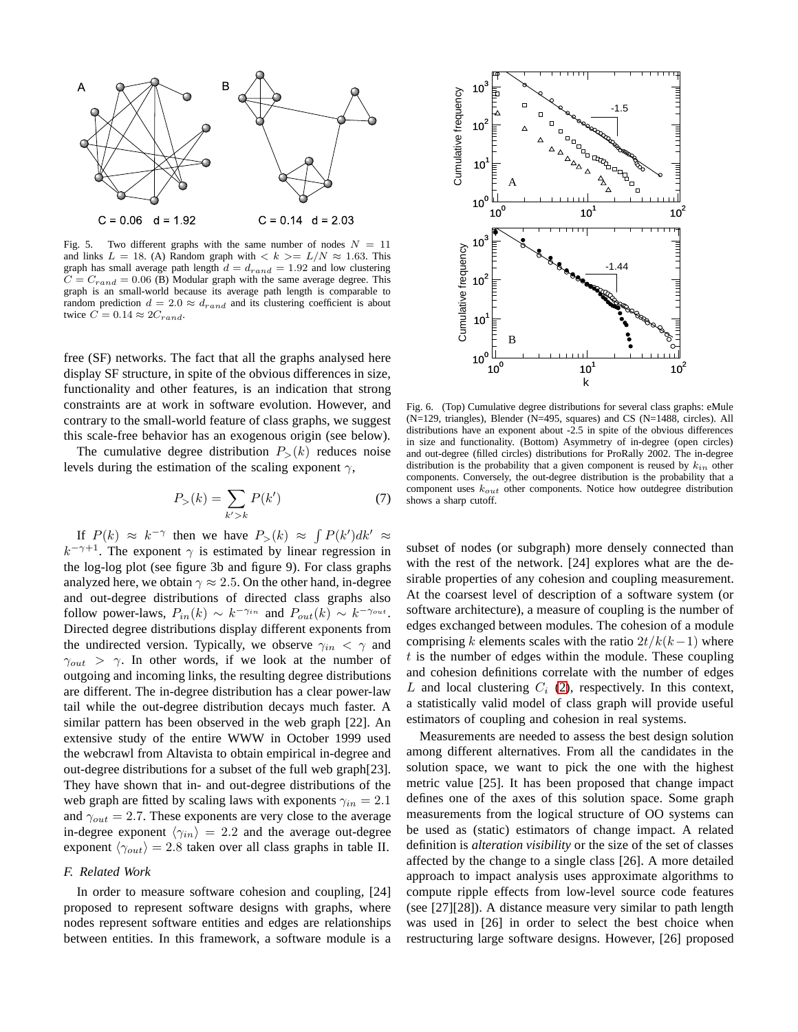

<span id="page-4-0"></span>Fig. 5. Two different graphs with the same number of nodes  $N = 11$ and links  $L = 18$ . (A) Random graph with  $\langle k \rangle = L/N \approx 1.63$ . This graph has small average path length  $d = d_{rand} = 1.92$  and low clustering  $C = C_{rand} = 0.06$  (B) Modular graph with the same average degree. This graph is an small-world because its average path length is comparable to random prediction  $d = 2.0 \approx d_{rand}$  and its clustering coefficient is about twice  $C = 0.14 \approx 2C_{rand}$ .

free (SF) networks. The fact that all the graphs analysed here display SF structure, in spite of the obvious differences in size, functionality and other features, is an indication that strong constraints are at work in software evolution. However, and contrary to the small-world feature of class graphs, we suggest this scale-free behavior has an exogenous origin (see below).

The cumulative degree distribution  $P_>(k)$  reduces noise levels during the estimation of the scaling exponent  $\gamma$ ,

$$
P_{>}(k) = \sum_{k'>k} P(k')
$$
 (7)

If  $P(k) \approx k^{-\gamma}$  then we have  $P_{>}(k) \approx \int P(k')dk' \approx$  $k^{-\gamma+1}$ . The exponent  $\gamma$  is estimated by linear regression in the log-log plot (see figure 3b and figure 9). For class graphs analyzed here, we obtain  $\gamma \approx 2.5$ . On the other hand, in-degree and out-degree distributions of directed class graphs also follow power-laws,  $P_{in}(k) \sim k^{-\gamma_{in}}$  and  $P_{out}(k) \sim k^{-\gamma_{out}}$ . Directed degree distributions display different exponents from the undirected version. Typically, we observe  $\gamma_{in} < \gamma$  and  $\gamma_{out} > \gamma$ . In other words, if we look at the number of outgoing and incoming links, the resulting degree distributions are different. The in-degree distribution has a clear power-law tail while the out-degree distribution decays much faster. A similar pattern has been observed in the web graph [22]. An extensive study of the entire WWW in October 1999 used the webcrawl from Altavista to obtain empirical in-degree and out-degree distributions for a subset of the full web graph[23]. They have shown that in- and out-degree distributions of the web graph are fitted by scaling laws with exponents  $\gamma_{in} = 2.1$ and  $\gamma_{out} = 2.7$ . These exponents are very close to the average in-degree exponent  $\langle \gamma_{in} \rangle = 2.2$  and the average out-degree exponent  $\langle \gamma_{out} \rangle = 2.8$  taken over all class graphs in table II.

# *F. Related Work*

In order to measure software cohesion and coupling, [24] proposed to represent software designs with graphs, where nodes represent software entities and edges are relationships between entities. In this framework, a software module is a



<span id="page-4-1"></span>Fig. 6. (Top) Cumulative degree distributions for several class graphs: eMule (N=129, triangles), Blender (N=495, squares) and CS (N=1488, circles). All distributions have an exponent about -2.5 in spite of the obvious differences in size and functionality. (Bottom) Asymmetry of in-degree (open circles) and out-degree (filled circles) distributions for ProRally 2002. The in-degree distribution is the probability that a given component is reused by  $k_{in}$  other components. Conversely, the out-degree distribution is the probability that a component uses  $k_{out}$  other components. Notice how outdegree distribution shows a sharp cutoff.

subset of nodes (or subgraph) more densely connected than with the rest of the network. [24] explores what are the desirable properties of any cohesion and coupling measurement. At the coarsest level of description of a software system (or software architecture), a measure of coupling is the number of edges exchanged between modules. The cohesion of a module comprising k elements scales with the ratio  $2t/k(k-1)$  where  $t$  is the number of edges within the module. These coupling and cohesion definitions correlate with the number of edges L and local clustering  $C_i$  [\(2\)](#page-2-2), respectively. In this context, a statistically valid model of class graph will provide useful estimators of coupling and cohesion in real systems.

Measurements are needed to assess the best design solution among different alternatives. From all the candidates in the solution space, we want to pick the one with the highest metric value [25]. It has been proposed that change impact defines one of the axes of this solution space. Some graph measurements from the logical structure of OO systems can be used as (static) estimators of change impact. A related definition is *alteration visibility* or the size of the set of classes affected by the change to a single class [26]. A more detailed approach to impact analysis uses approximate algorithms to compute ripple effects from low-level source code features (see [27][28]). A distance measure very similar to path length was used in [26] in order to select the best choice when restructuring large software designs. However, [26] proposed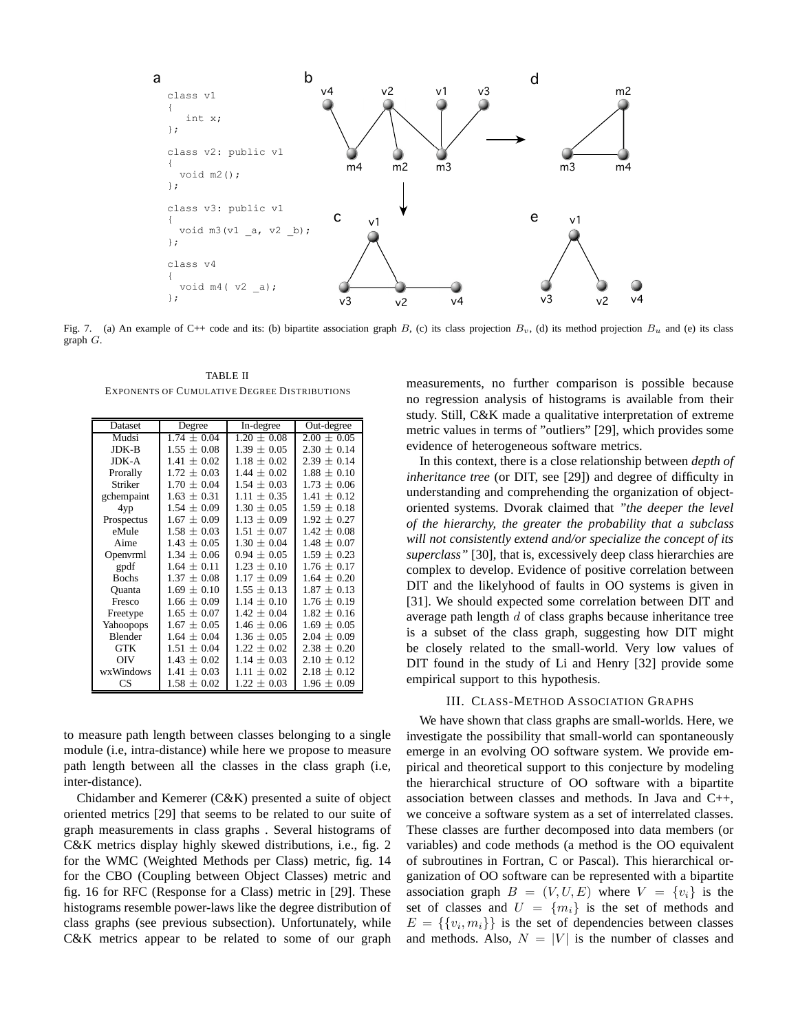

Fig. 7. (a) An example of C++ code and its: (b) bipartite association graph B, (c) its class projection  $B_v$ , (d) its method projection  $B_u$  and (e) its class graph G.

<span id="page-5-0"></span>TABLE II EXPONENTS OF CUMULATIVE DEGREE DISTRIBUTIONS

| Dataset      | Degree          | In-degree       | Out-degree      |
|--------------|-----------------|-----------------|-----------------|
| Mudsi        | $1.74 \pm 0.04$ | $1.20 + 0.08$   | $2.00 \pm 0.05$ |
| $JDK-B$      | $1.55 \pm 0.08$ | $1.39 \pm 0.05$ | $2.30 \pm 0.14$ |
| JDK-A        | $1.41 \pm 0.02$ | $1.18 \pm 0.02$ | $2.39 \pm 0.14$ |
| Prorally     | $1.72 \pm 0.03$ | $1.44 \pm 0.02$ | $1.88 \pm 0.10$ |
| Striker      | $1.70 \pm 0.04$ | $1.54 \pm 0.03$ | $1.73 \pm 0.06$ |
| gchempaint   | $1.63 \pm 0.31$ | $1.11 \pm 0.35$ | $1.41 \pm 0.12$ |
| 4yp          | $1.54 \pm 0.09$ | $1.30 \pm 0.05$ | $1.59 + 0.18$   |
| Prospectus   | $1.67 \pm 0.09$ | $1.13 \pm 0.09$ | $1.92 \pm 0.27$ |
| eMule        | $1.58 \pm 0.03$ | $1.51 \pm 0.07$ | $1.42 \pm 0.08$ |
| Aime         | $1.43 \pm 0.05$ | $1.30 \pm 0.04$ | $1.48 \pm 0.07$ |
| Openvrml     | $1.34 \pm 0.06$ | $0.94 \pm 0.05$ | $1.59 \pm 0.23$ |
| gpdf         | $1.64 \pm 0.11$ | $1.23 + 0.10$   | $1.76 \pm 0.17$ |
| <b>Bochs</b> | $1.37 \pm 0.08$ | $1.17 \pm 0.09$ | $1.64 \pm 0.20$ |
| Ouanta       | $1.69 \pm 0.10$ | $1.55 \pm 0.13$ | $1.87 \pm 0.13$ |
| Fresco       | $1.66 \pm 0.09$ | $1.14 \pm 0.10$ | $1.76 \pm 0.19$ |
| Freetype     | $1.65 \pm 0.07$ | $1.42 \pm 0.04$ | $1.82 \pm 0.16$ |
| Yahoopops    | $1.67 \pm 0.05$ | $1.46 \pm 0.06$ | $1.69 \pm 0.05$ |
| Blender      | $1.64 \pm 0.04$ | $1.36 \pm 0.05$ | $2.04 \pm 0.09$ |
| GTK          | $1.51 \pm 0.04$ | $1.22 \pm 0.02$ | $2.38 \pm 0.20$ |
| OIV          | $1.43 \pm 0.02$ | $1.14 \pm 0.03$ | $2.10 \pm 0.12$ |
| wxWindows    | $1.41 \pm 0.03$ | $1.11 \pm 0.02$ | $2.18 \pm 0.12$ |
| <b>CS</b>    | $1.58 \pm 0.02$ | $1.22 \pm 0.03$ | $1.96 \pm 0.09$ |

to measure path length between classes belonging to a single module (i.e, intra-distance) while here we propose to measure path length between all the classes in the class graph (i.e, inter-distance).

Chidamber and Kemerer (C&K) presented a suite of object oriented metrics [29] that seems to be related to our suite of graph measurements in class graphs . Several histograms of C&K metrics display highly skewed distributions, i.e., fig. 2 for the WMC (Weighted Methods per Class) metric, fig. 14 for the CBO (Coupling between Object Classes) metric and fig. 16 for RFC (Response for a Class) metric in [29]. These histograms resemble power-laws like the degree distribution of class graphs (see previous subsection). Unfortunately, while C&K metrics appear to be related to some of our graph

measurements, no further comparison is possible because no regression analysis of histograms is available from their study. Still, C&K made a qualitative interpretation of extreme metric values in terms of "outliers" [29], which provides some evidence of heterogeneous software metrics.

In this context, there is a close relationship between *depth of inheritance tree* (or DIT, see [29]) and degree of difficulty in understanding and comprehending the organization of objectoriented systems. Dvorak claimed that *"the deeper the level of the hierarchy, the greater the probability that a subclass will not consistently extend and/or specialize the concept of its superclass"* [30], that is, excessively deep class hierarchies are complex to develop. Evidence of positive correlation between DIT and the likelyhood of faults in OO systems is given in [31]. We should expected some correlation between DIT and average path length  $d$  of class graphs because inheritance tree is a subset of the class graph, suggesting how DIT might be closely related to the small-world. Very low values of DIT found in the study of Li and Henry [32] provide some empirical support to this hypothesis.

# III. CLASS-METHOD ASSOCIATION GRAPHS

We have shown that class graphs are small-worlds. Here, we investigate the possibility that small-world can spontaneously emerge in an evolving OO software system. We provide empirical and theoretical support to this conjecture by modeling the hierarchical structure of OO software with a bipartite association between classes and methods. In Java and C++, we conceive a software system as a set of interrelated classes. These classes are further decomposed into data members (or variables) and code methods (a method is the OO equivalent of subroutines in Fortran, C or Pascal). This hierarchical organization of OO software can be represented with a bipartite association graph  $B = (V, U, E)$  where  $V = \{v_i\}$  is the set of classes and  $U = \{m_i\}$  is the set of methods and  $E = \{\{v_i, m_i\}\}\$ is the set of dependencies between classes and methods. Also,  $N = |V|$  is the number of classes and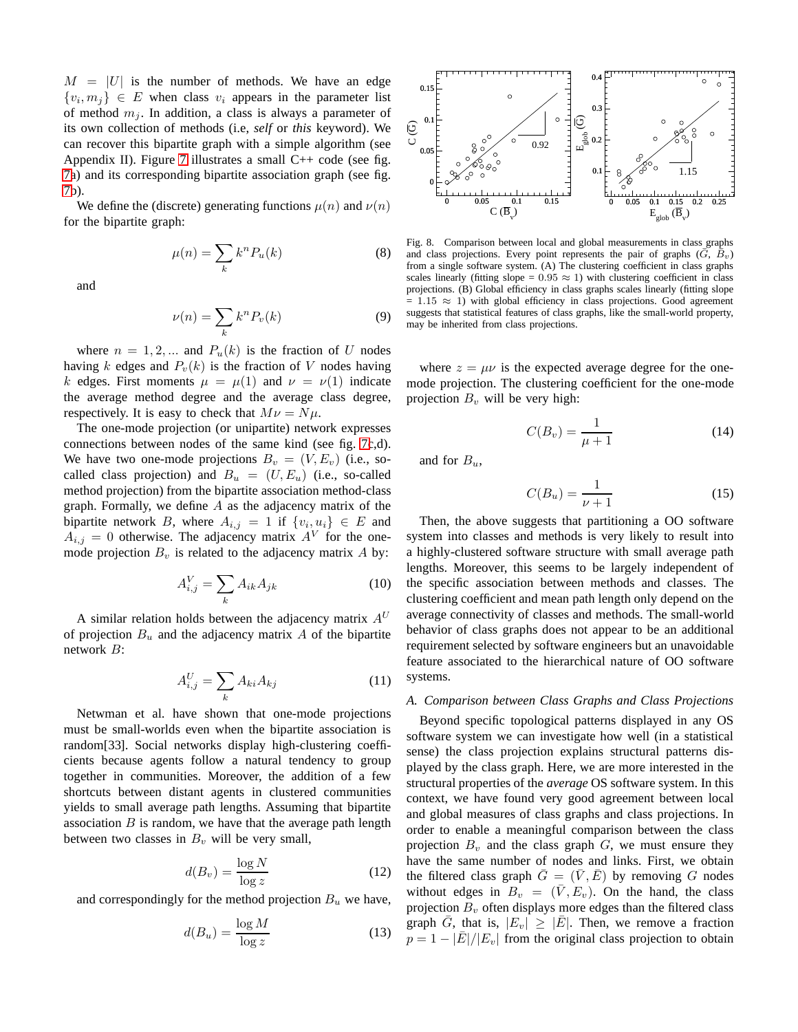$M = |U|$  is the number of methods. We have an edge  $\{v_i, m_j\} \in E$  when class  $v_i$  appears in the parameter list of method  $m_i$ . In addition, a class is always a parameter of its own collection of methods (i.e, *self* or *this* keyword). We can recover this bipartite graph with a simple algorithm (see Appendix II). Figure [7](#page-5-0) illustrates a small  $C++$  code (see fig. [7a](#page-5-0)) and its corresponding bipartite association graph (see fig. [7b](#page-5-0)).

We define the (discrete) generating functions  $\mu(n)$  and  $\nu(n)$ for the bipartite graph:

$$
\mu(n) = \sum_{k} k^{n} P_{u}(k) \tag{8}
$$

and

$$
\nu(n) = \sum_{k} k^{n} P_{v}(k) \tag{9}
$$

where  $n = 1, 2, ...$  and  $P_u(k)$  is the fraction of U nodes having k edges and  $P_v(k)$  is the fraction of V nodes having k edges. First moments  $\mu = \mu(1)$  and  $\nu = \nu(1)$  indicate the average method degree and the average class degree, respectively. It is easy to check that  $M\nu = N\mu$ .

The one-mode projection (or unipartite) network expresses connections between nodes of the same kind (see fig. [7c](#page-5-0),d). We have two one-mode projections  $B_v = (V, E_v)$  (i.e., socalled class projection) and  $B_u = (U, E_u)$  (i.e., so-called method projection) from the bipartite association method-class graph. Formally, we define  $A$  as the adjacency matrix of the bipartite network B, where  $A_{i,j} = 1$  if  $\{v_i, u_i\} \in E$  and  $A_{i,j} = 0$  otherwise. The adjacency matrix  $A^{V}$  for the onemode projection  $B_v$  is related to the adjacency matrix A by:

$$
A_{i,j}^V = \sum_k A_{ik} A_{jk} \tag{10}
$$

A similar relation holds between the adjacency matrix  $A^U$ of projection  $B_u$  and the adjacency matrix A of the bipartite network B:

$$
A_{i,j}^U = \sum_k A_{ki} A_{kj} \tag{11}
$$

Netwman et al. have shown that one-mode projections must be small-worlds even when the bipartite association is random[33]. Social networks display high-clustering coefficients because agents follow a natural tendency to group together in communities. Moreover, the addition of a few shortcuts between distant agents in clustered communities yields to small average path lengths. Assuming that bipartite association  $B$  is random, we have that the average path length between two classes in  $B_v$  will be very small,

$$
d(B_v) = \frac{\log N}{\log z} \tag{12}
$$

and correspondingly for the method projection  $B_u$  we have,

$$
d(B_u) = \frac{\log M}{\log z} \tag{13}
$$



<span id="page-6-0"></span>Fig. 8. Comparison between local and global measurements in class graphs and class projections. Every point represents the pair of graphs  $(\bar{G}, B_v)$ from a single software system. (A) The clustering coefficient in class graphs scales linearly (fitting slope =  $0.95 \approx 1$ ) with clustering coefficient in class projections. (B) Global efficiency in class graphs scales linearly (fitting slope  $= 1.15 \approx 1$ ) with global efficiency in class projections. Good agreement suggests that statistical features of class graphs, like the small-world property, may be inherited from class projections.

where  $z = \mu \nu$  is the expected average degree for the onemode projection. The clustering coefficient for the one-mode projection  $B<sub>v</sub>$  will be very high:

$$
C(B_v) = \frac{1}{\mu + 1} \tag{14}
$$

and for  $B_u$ ,

$$
C(B_u) = \frac{1}{\nu + 1} \tag{15}
$$

Then, the above suggests that partitioning a OO software system into classes and methods is very likely to result into a highly-clustered software structure with small average path lengths. Moreover, this seems to be largely independent of the specific association between methods and classes. The clustering coefficient and mean path length only depend on the average connectivity of classes and methods. The small-world behavior of class graphs does not appear to be an additional requirement selected by software engineers but an unavoidable feature associated to the hierarchical nature of OO software systems.

## *A. Comparison between Class Graphs and Class Projections*

Beyond specific topological patterns displayed in any OS software system we can investigate how well (in a statistical sense) the class projection explains structural patterns displayed by the class graph. Here, we are more interested in the structural properties of the *average* OS software system. In this context, we have found very good agreement between local and global measures of class graphs and class projections. In order to enable a meaningful comparison between the class projection  $B_v$  and the class graph  $G$ , we must ensure they have the same number of nodes and links. First, we obtain the filtered class graph  $\overline{G} = (\overline{V}, \overline{E})$  by removing G nodes without edges in  $B_v = (\bar{V}, E_v)$ . On the hand, the class projection  $B<sub>v</sub>$  often displays more edges than the filtered class graph  $\overline{G}$ , that is,  $|E_v| \geq |\overline{E}|$ . Then, we remove a fraction  $p = 1 - |E|/|E_v|$  from the original class projection to obtain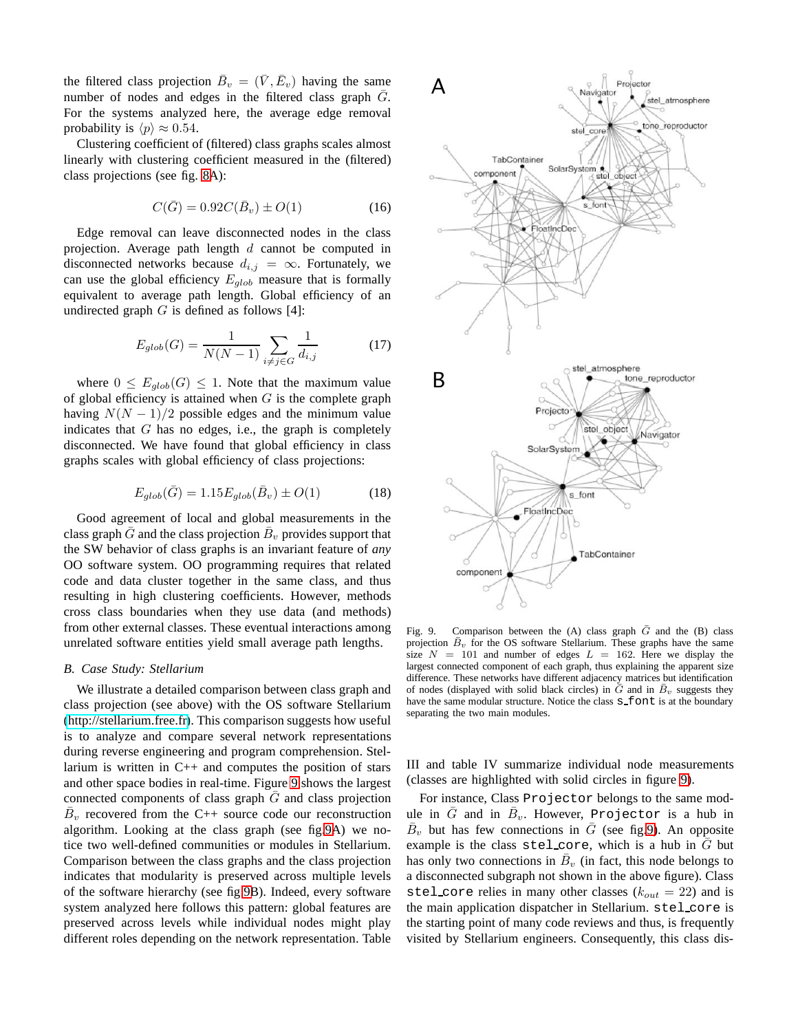the filtered class projection  $\bar{B}_v = (\bar{V}, \bar{E}_v)$  having the same number of nodes and edges in the filtered class graph  $\overline{G}$ . For the systems analyzed here, the average edge removal probability is  $\langle p \rangle \approx 0.54$ .

Clustering coefficient of (filtered) class graphs scales almost linearly with clustering coefficient measured in the (filtered) class projections (see fig. [8A](#page-6-0)):

$$
C(\bar{G}) = 0.92C(\bar{B}_v) \pm O(1) \tag{16}
$$

Edge removal can leave disconnected nodes in the class projection. Average path length  $d$  cannot be computed in disconnected networks because  $d_{i,j} = \infty$ . Fortunately, we can use the global efficiency  $E_{glob}$  measure that is formally equivalent to average path length. Global efficiency of an undirected graph  $G$  is defined as follows [4]:

$$
E_{glob}(G) = \frac{1}{N(N-1)} \sum_{i \neq j \in G} \frac{1}{d_{i,j}} \tag{17}
$$

where  $0 \leq E_{glob}(G) \leq 1$ . Note that the maximum value of global efficiency is attained when  $G$  is the complete graph having  $N(N - 1)/2$  possible edges and the minimum value indicates that  $G$  has no edges, i.e., the graph is completely disconnected. We have found that global efficiency in class graphs scales with global efficiency of class projections:

$$
E_{glob}(\bar{G}) = 1.15 E_{glob}(\bar{B}_v) \pm O(1)
$$
 (18)

Good agreement of local and global measurements in the class graph  $\bar{G}$  and the class projection  $\bar{B}_v$  provides support that the SW behavior of class graphs is an invariant feature of *any* OO software system. OO programming requires that related code and data cluster together in the same class, and thus resulting in high clustering coefficients. However, methods cross class boundaries when they use data (and methods) from other external classes. These eventual interactions among unrelated software entities yield small average path lengths.

## *B. Case Study: Stellarium*

We illustrate a detailed comparison between class graph and class projection (see above) with the OS software Stellarium [\(http://stellarium.free.fr\)](http://stellarium.free.fr). This comparison suggests how useful is to analyze and compare several network representations during reverse engineering and program comprehension. Stellarium is written in C++ and computes the position of stars and other space bodies in real-time. Figure [9](#page-7-0) shows the largest connected components of class graph  $G$  and class projection  $\overline{B}_v$  recovered from the C++ source code our reconstruction algorithm. Looking at the class graph (see fig[.9A](#page-7-0)) we notice two well-defined communities or modules in Stellarium. Comparison between the class graphs and the class projection indicates that modularity is preserved across multiple levels of the software hierarchy (see fig[.9B](#page-7-0)). Indeed, every software system analyzed here follows this pattern: global features are preserved across levels while individual nodes might play different roles depending on the network representation. Table



<span id="page-7-0"></span>Fig. 9. Comparison between the (A) class graph  $\bar{G}$  and the (B) class projection  $B_v$  for the OS software Stellarium. These graphs have the same size  $N = 101$  and number of edges  $L = 162$ . Here we display the largest connected component of each graph, thus explaining the apparent size difference. These networks have different adjacency matrices but identification of nodes (displayed with solid black circles) in  $G$  and in  $B_v$  suggests they have the same modular structure. Notice the class  $s$  font is at the boundary separating the two main modules.

III and table IV summarize individual node measurements (classes are highlighted with solid circles in figure [9\)](#page-7-0).

For instance, Class Projector belongs to the same module in  $\bar{G}$  and in  $\bar{B}_v$ . However, Projector is a hub in  $\bar{B}_v$  but has few connections in  $\bar{G}$  (see fig[.9\)](#page-7-0). An opposite example is the class stel\_core, which is a hub in  $\bar{G}$  but has only two connections in  $\bar{B}_v$  (in fact, this node belongs to a disconnected subgraph not shown in the above figure). Class stel core relies in many other classes  $(k_{out} = 22)$  and is the main application dispatcher in Stellarium. stel core is the starting point of many code reviews and thus, is frequently visited by Stellarium engineers. Consequently, this class dis-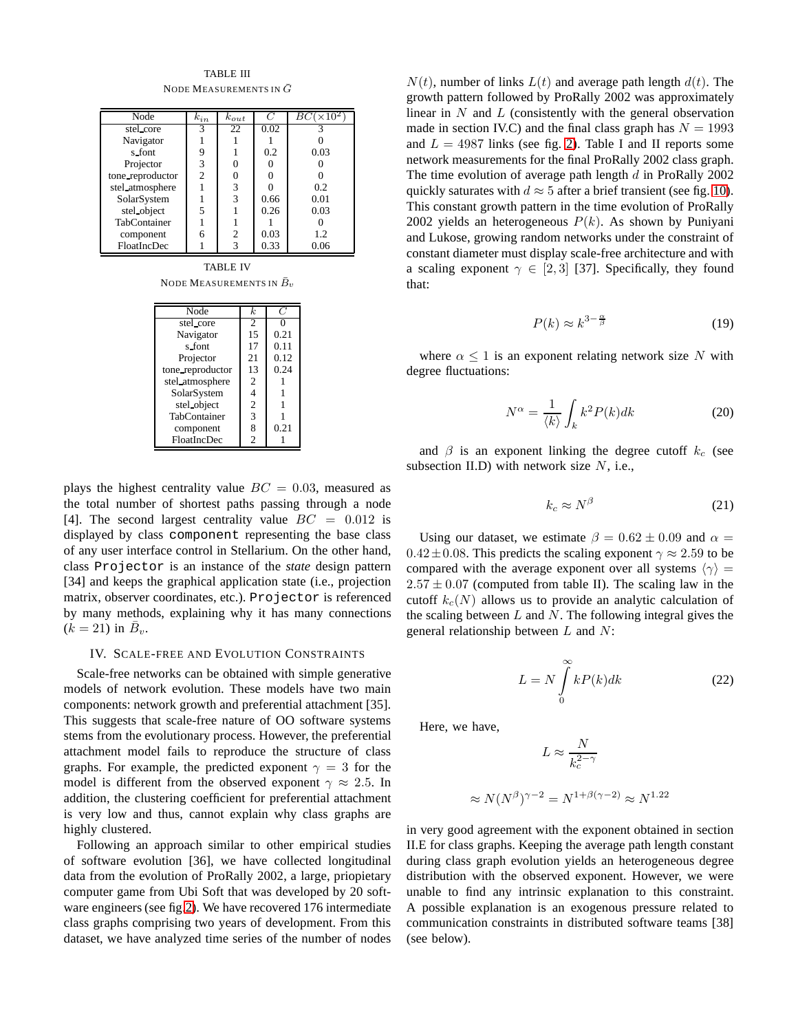TABLE III NODE MEASUREMENTS IN  $\bar{G}$ 

| Node             | $k_{in}$ | $k_{out}$ | C    | $BC(\overline{\times 10^2})$ |
|------------------|----------|-----------|------|------------------------------|
| stel_core        | 3        | 22        | 0.02 |                              |
| Navigator        |          |           |      |                              |
| s_font           | 9        |           | 0.2  | 0.03                         |
| Projector        | 3        |           |      |                              |
| tone_reproductor | 2        |           |      |                              |
| stel_atmosphere  |          | 3         |      | 0.2                          |
| SolarSystem      |          | 3         | 0.66 | 0.01                         |
| stel_object      | 5        |           | 0.26 | 0.03                         |
| TabContainer     |          |           |      |                              |
| component        | 6        | 2         | 0.03 | 1.2                          |
| FloatIncDec      |          | 3         | 0.33 | 0.06                         |

TABLE IV NODE MEASUREMENTS IN  $\bar{B}_v$ 

| Node             | $\boldsymbol{k}$ |      |
|------------------|------------------|------|
| stel_core        | $\overline{c}$   | 0    |
| Navigator        | 15               | 0.21 |
| s font           | 17               | 0.11 |
| Projector        | 21               | 0.12 |
| tone_reproductor | 13               | 0.24 |
| stel_atmosphere  | 2                |      |
| SolarSystem      | 4                |      |
| stel object      | 2                |      |
| TabContainer     | 3                |      |
| component        | 8                | 0.21 |
| FloatIncDec      | 2                |      |

plays the highest centrality value  $BC = 0.03$ , measured as the total number of shortest paths passing through a node [4]. The second largest centrality value  $BC = 0.012$  is displayed by class component representing the base class of any user interface control in Stellarium. On the other hand, class Projector is an instance of the *state* design pattern [34] and keeps the graphical application state (i.e., projection matrix, observer coordinates, etc.). Projector is referenced by many methods, explaining why it has many connections  $(k = 21)$  in  $\overline{B}_v$ .

# IV. SCALE-FREE AND EVOLUTION CONSTRAINTS

Scale-free networks can be obtained with simple generative models of network evolution. These models have two main components: network growth and preferential attachment [35]. This suggests that scale-free nature of OO software systems stems from the evolutionary process. However, the preferential attachment model fails to reproduce the structure of class graphs. For example, the predicted exponent  $\gamma = 3$  for the model is different from the observed exponent  $\gamma \approx 2.5$ . In addition, the clustering coefficient for preferential attachment is very low and thus, cannot explain why class graphs are highly clustered.

Following an approach similar to other empirical studies of software evolution [36], we have collected longitudinal data from the evolution of ProRally 2002, a large, priopietary computer game from Ubi Soft that was developed by 20 software engineers (see fig[.2\)](#page-1-0). We have recovered 176 intermediate class graphs comprising two years of development. From this dataset, we have analyzed time series of the number of nodes

 $N(t)$ , number of links  $L(t)$  and average path length  $d(t)$ . The growth pattern followed by ProRally 2002 was approximately linear in  $N$  and  $L$  (consistently with the general observation made in section IV.C) and the final class graph has  $N = 1993$ and  $L = 4987$  links (see fig. [2\)](#page-1-0). Table I and II reports some network measurements for the final ProRally 2002 class graph. The time evolution of average path length  $d$  in ProRally 2002 quickly saturates with  $d \approx 5$  after a brief transient (see fig. [10\)](#page-9-0). This constant growth pattern in the time evolution of ProRally 2002 yields an heterogeneous  $P(k)$ . As shown by Puniyani and Lukose, growing random networks under the constraint of constant diameter must display scale-free architecture and with a scaling exponent  $\gamma \in [2, 3]$  [37]. Specifically, they found that:

$$
P(k) \approx k^{3 - \frac{\alpha}{\beta}} \tag{19}
$$

where  $\alpha \leq 1$  is an exponent relating network size N with degree fluctuations:

$$
N^{\alpha} = \frac{1}{\langle k \rangle} \int_{k} k^{2} P(k) dk
$$
 (20)

and  $\beta$  is an exponent linking the degree cutoff  $k_c$  (see subsection II.D) with network size  $N$ , i.e.,

$$
k_c \approx N^{\beta} \tag{21}
$$

Using our dataset, we estimate  $\beta = 0.62 \pm 0.09$  and  $\alpha =$  $0.42 \pm 0.08$ . This predicts the scaling exponent  $\gamma \approx 2.59$  to be compared with the average exponent over all systems  $\langle \gamma \rangle$  =  $2.57 \pm 0.07$  (computed from table II). The scaling law in the cutoff  $k_c(N)$  allows us to provide an analytic calculation of the scaling between  $L$  and  $N$ . The following integral gives the general relationship between  $L$  and  $N$ :

$$
L = N \int_{0}^{\infty} kP(k)dk
$$
 (22)

Here, we have,

 $\approx$ 

$$
L \approx \frac{N}{k_c^{2-\gamma}}
$$
  

$$
N(N^{\beta})^{\gamma-2} = N^{1+\beta(\gamma-2)} \approx N^{1.22}
$$

in very good agreement with the exponent obtained in section II.E for class graphs. Keeping the average path length constant during class graph evolution yields an heterogeneous degree distribution with the observed exponent. However, we were unable to find any intrinsic explanation to this constraint. A possible explanation is an exogenous pressure related to communication constraints in distributed software teams [38] (see below).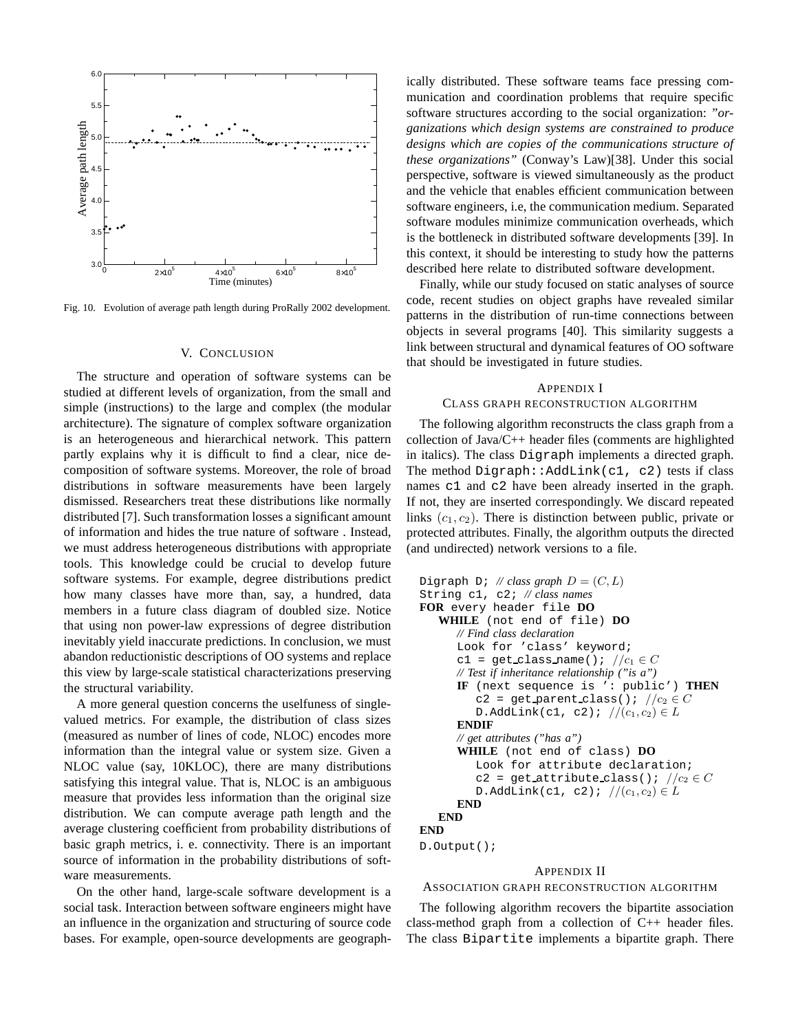

<span id="page-9-0"></span>Fig. 10. Evolution of average path length during ProRally 2002 development.

#### V. CONCLUSION

The structure and operation of software systems can be studied at different levels of organization, from the small and simple (instructions) to the large and complex (the modular architecture). The signature of complex software organization is an heterogeneous and hierarchical network. This pattern partly explains why it is difficult to find a clear, nice decomposition of software systems. Moreover, the role of broad distributions in software measurements have been largely dismissed. Researchers treat these distributions like normally distributed [7]. Such transformation losses a significant amount of information and hides the true nature of software . Instead, we must address heterogeneous distributions with appropriate tools. This knowledge could be crucial to develop future software systems. For example, degree distributions predict how many classes have more than, say, a hundred, data members in a future class diagram of doubled size. Notice that using non power-law expressions of degree distribution inevitably yield inaccurate predictions. In conclusion, we must abandon reductionistic descriptions of OO systems and replace this view by large-scale statistical characterizations preserving the structural variability.

A more general question concerns the uselfuness of singlevalued metrics. For example, the distribution of class sizes (measured as number of lines of code, NLOC) encodes more information than the integral value or system size. Given a NLOC value (say, 10KLOC), there are many distributions satisfying this integral value. That is, NLOC is an ambiguous measure that provides less information than the original size distribution. We can compute average path length and the average clustering coefficient from probability distributions of basic graph metrics, i. e. connectivity. There is an important source of information in the probability distributions of software measurements.

On the other hand, large-scale software development is a social task. Interaction between software engineers might have an influence in the organization and structuring of source code bases. For example, open-source developments are geograph-

ically distributed. These software teams face pressing communication and coordination problems that require specific software structures according to the social organization: *"organizations which design systems are constrained to produce designs which are copies of the communications structure of these organizations"* (Conway's Law)[38]. Under this social perspective, software is viewed simultaneously as the product and the vehicle that enables efficient communication between software engineers, i.e, the communication medium. Separated software modules minimize communication overheads, which is the bottleneck in distributed software developments [39]. In this context, it should be interesting to study how the patterns described here relate to distributed software development.

Finally, while our study focused on static analyses of source code, recent studies on object graphs have revealed similar patterns in the distribution of run-time connections between objects in several programs [40]. This similarity suggests a link between structural and dynamical features of OO software that should be investigated in future studies.

# APPENDIX I CLASS GRAPH RECONSTRUCTION ALGORITHM

The following algorithm reconstructs the class graph from a collection of Java/C++ header files (comments are highlighted in italics). The class Digraph implements a directed graph. The method Digraph:: $AddLink(c1, c2)$  tests if class names c1 and c2 have been already inserted in the graph. If not, they are inserted correspondingly. We discard repeated links  $(c_1, c_2)$ . There is distinction between public, private or protected attributes. Finally, the algorithm outputs the directed (and undirected) network versions to a file.

```
Digraph D; // class graph D = (C, L)String c1, c2; // class names
FOR every header file DO
   WHILE (not end of file) DO
      // Find class declaration
      Look for 'class' keyword;
      c1 = get_class_name(); //c_1 \in C// Test if inheritance relationship ("is a")
      IF (next sequence is ': public') THEN
         c2 = get parent class(); //c_2 \in CD.AddLink(c1, c2); //(c_1, c_2) \in LENDIF
      // get attributes ("has a")
      WHILE (not end of class) DO
         Look for attribute declaration;
         c2 = get_attribute_class(); //c_2 \in CD.AddLink(c1, c2); //(c_1, c_2) \in LEND
   END
END
D.Output();
```
## APPENDIX II

ASSOCIATION GRAPH RECONSTRUCTION ALGORITHM

The following algorithm recovers the bipartite association class-method graph from a collection of C++ header files. The class Bipartite implements a bipartite graph. There